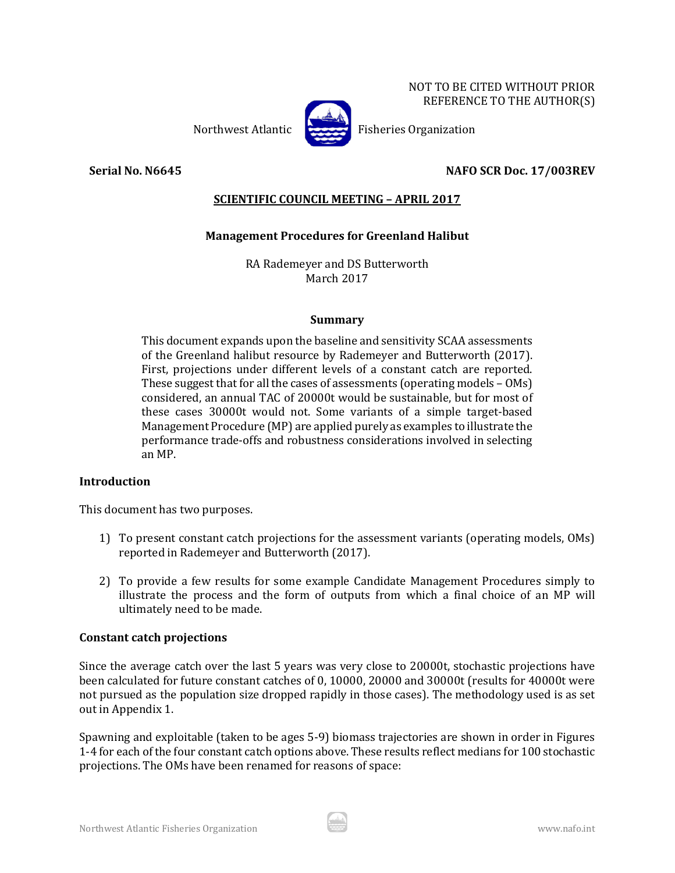

Northwest Atlantic Fisheries Organization

# **Serial No. N6645 NAFO SCR Doc. 17/003REV**

# **SCIENTIFIC COUNCIL MEETING – APRIL 2017**

# **Management Procedures for Greenland Halibut**

RA Rademeyer and DS Butterworth March 2017

## **Summary**

This document expands upon the baseline and sensitivity SCAA assessments of the Greenland halibut resource by Rademeyer and Butterworth (2017). First, projections under different levels of a constant catch are reported. These suggest that for all the cases of assessments (operating models – OMs) considered, an annual TAC of 20000t would be sustainable, but for most of these cases 30000t would not. Some variants of a simple target-based Management Procedure (MP) are applied purely as examples to illustrate the performance trade-offs and robustness considerations involved in selecting an MP.

# **Introduction**

This document has two purposes.

- 1) To present constant catch projections for the assessment variants (operating models, OMs) reported in Rademeyer and Butterworth (2017).
- 2) To provide a few results for some example Candidate Management Procedures simply to illustrate the process and the form of outputs from which a final choice of an MP will ultimately need to be made.

# **Constant catch projections**

Since the average catch over the last 5 years was very close to 20000t, stochastic projections have been calculated for future constant catches of 0, 10000, 20000 and 30000t (results for 40000t were not pursued as the population size dropped rapidly in those cases). The methodology used is as set out in Appendix 1.

Spawning and exploitable (taken to be ages 5-9) biomass trajectories are shown in order in Figures 1-4 for each of the four constant catch options above. These results reflect medians for 100 stochastic projections. The OMs have been renamed for reasons of space: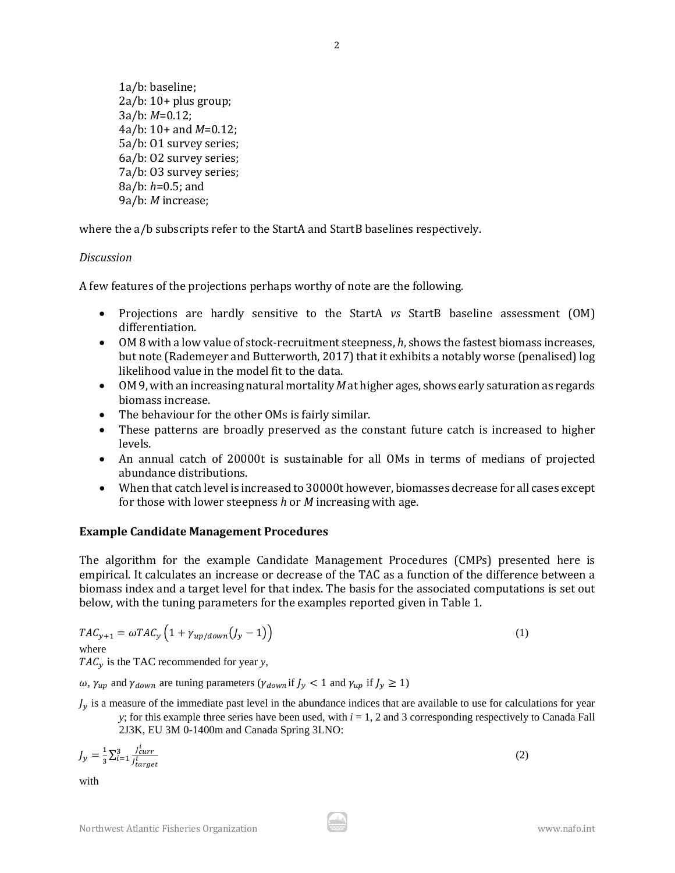1a/b: baseline; 2a/b: 10+ plus group; 3a/b: *M*=0.12; 4a/b: 10+ and *M*=0.12; 5a/b: O1 survey series; 6a/b: O2 survey series; 7a/b: O3 survey series; 8a/b: *h*=0.5; and 9a/b: *M* increase;

where the a/b subscripts refer to the StartA and StartB baselines respectively.

# *Discussion*

A few features of the projections perhaps worthy of note are the following.

- Projections are hardly sensitive to the StartA *vs* StartB baseline assessment (OM) differentiation.
- OM 8 with a low value of stock-recruitment steepness, *h*, shows the fastest biomass increases, but note (Rademeyer and Butterworth, 2017) that it exhibits a notably worse (penalised) log likelihood value in the model fit to the data.
- OM 9, with an increasing natural mortality *M* at higher ages, shows early saturation as regards biomass increase.
- The behaviour for the other OMs is fairly similar.
- These patterns are broadly preserved as the constant future catch is increased to higher levels.
- An annual catch of 20000t is sustainable for all OMs in terms of medians of projected abundance distributions.
- When that catch level is increased to 30000t however, biomasses decrease for all cases except for those with lower steepness *h* or *M* increasing with age.

## **Example Candidate Management Procedures**

The algorithm for the example Candidate Management Procedures (CMPs) presented here is empirical. It calculates an increase or decrease of the TAC as a function of the difference between a biomass index and a target level for that index. The basis for the associated computations is set out below, with the tuning parameters for the examples reported given in Table 1.

$$
TAC_{y+1} = \omega TAC_y \left( 1 + \gamma_{up/down}(J_y - 1) \right)
$$
\nwhere

 $TAC<sub>v</sub>$  is the TAC recommended for year *y*,

 $\omega$ ,  $\gamma_{up}$  and  $\gamma_{down}$  are tuning parameters ( $\gamma_{down}$  if  $J_y < 1$  and  $\gamma_{up}$  if  $J_y \ge 1$ )

 $J_v$  is a measure of the immediate past level in the abundance indices that are available to use for calculations for year *y*; for this example three series have been used, with *i* = 1, 2 and 3 corresponding respectively to Canada Fall

2J3K, EU 3M 0-1400m and Canada Spring 3LNO:

$$
J_y = \frac{1}{3} \sum_{i=1}^3 \frac{J_{curr}^i}{J_{target}^i} \tag{2}
$$

with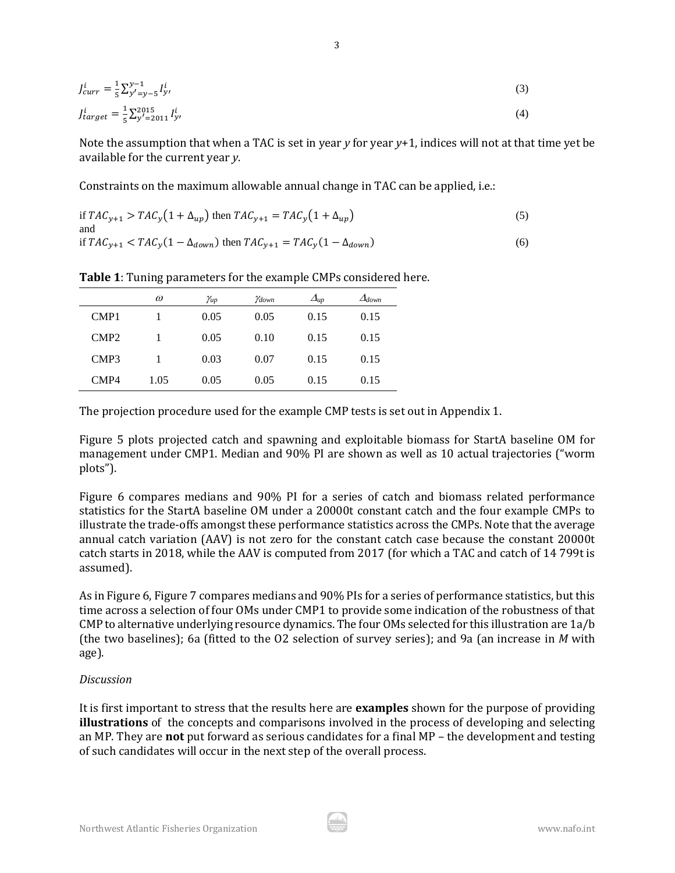$$
J_{curr}^i = \frac{1}{5} \sum_{y'=y-5}^{y-1} I_{y'}^i
$$
\n(3)

$$
J_{target}^{i} = \frac{1}{5} \sum_{y'=2011}^{2015} I_{y'}^{i}
$$
 (4)

Note the assumption that when a TAC is set in year *y* for year *y*+1, indices will not at that time yet be available for the current year *y*.

3

Constraints on the maximum allowable annual change in TAC can be applied, i.e.:

if 
$$
TAC_{y+1} > TAC_y(1 + \Delta_{up})
$$
 then  $TAC_{y+1} = TAC_y(1 + \Delta_{up})$  (5)  
and  
if  $TAC_{y+1} < TAC_y(1 - \Delta_{down})$  then  $TAC_{y+1} = TAC_y(1 - \Delta_{down})$  (6)

|                  | $\omega$ | Yup  | Ydown | $\Delta_{up}$ | $\Delta_{down}$ |
|------------------|----------|------|-------|---------------|-----------------|
| CMP1             |          | 0.05 | 0.05  | 0.15          | 0.15            |
| CMP <sub>2</sub> |          | 0.05 | 0.10  | 0.15          | 0.15            |
| CMP <sub>3</sub> |          | 0.03 | 0.07  | 0.15          | 0.15            |
| CMP4             | 1.05     | 0.05 | 0.05  | 0.15          | 0.15            |

**Table 1**: Tuning parameters for the example CMPs considered here.

The projection procedure used for the example CMP tests is set out in Appendix 1.

Figure 5 plots projected catch and spawning and exploitable biomass for StartA baseline OM for management under CMP1. Median and 90% PI are shown as well as 10 actual trajectories ("worm plots").

Figure 6 compares medians and 90% PI for a series of catch and biomass related performance statistics for the StartA baseline OM under a 20000t constant catch and the four example CMPs to illustrate the trade-offs amongst these performance statistics across the CMPs. Note that the average annual catch variation (AAV) is not zero for the constant catch case because the constant 20000t catch starts in 2018, while the AAV is computed from 2017 (for which a TAC and catch of 14 799t is assumed).

As in Figure 6, Figure 7 compares medians and 90% PIs for a series of performance statistics, but this time across a selection of four OMs under CMP1 to provide some indication of the robustness of that CMP to alternative underlying resource dynamics. The four OMs selected for this illustration are 1a/b (the two baselines); 6a (fitted to the O2 selection of survey series); and 9a (an increase in *M* with age).

# *Discussion*

It is first important to stress that the results here are **examples** shown for the purpose of providing **illustrations** of the concepts and comparisons involved in the process of developing and selecting an MP. They are **not** put forward as serious candidates for a final MP – the development and testing of such candidates will occur in the next step of the overall process.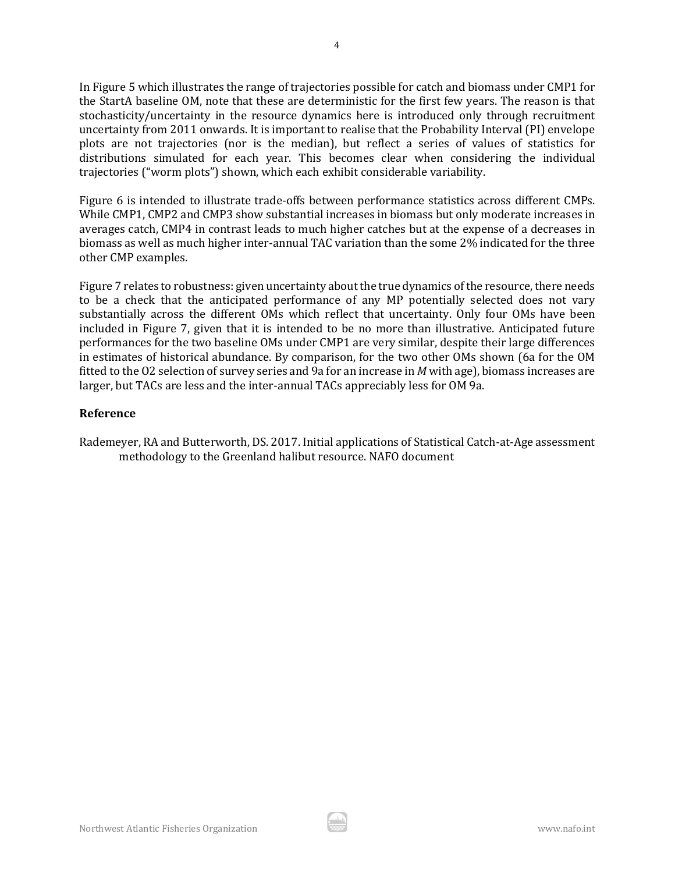In Figure 5 which illustrates the range of trajectories possible for catch and biomass under CMP1 for the StartA baseline OM, note that these are deterministic for the first few years. The reason is that stochasticity/uncertainty in the resource dynamics here is introduced only through recruitment uncertainty from 2011 onwards. It is important to realise that the Probability Interval (PI) envelope plots are not trajectories (nor is the median), but reflect a series of values of statistics for distributions simulated for each year. This becomes clear when considering the individual trajectories ("worm plots") shown, which each exhibit considerable variability.

Figure 6 is intended to illustrate trade-offs between performance statistics across different CMPs. While CMP1, CMP2 and CMP3 show substantial increases in biomass but only moderate increases in averages catch, CMP4 in contrast leads to much higher catches but at the expense of a decreases in biomass as well as much higher inter-annual TAC variation than the some 2% indicated for the three other CMP examples.

Figure 7 relates to robustness: given uncertainty about the true dynamics of the resource, there needs to be a check that the anticipated performance of any MP potentially selected does not vary substantially across the different OMs which reflect that uncertainty. Only four OMs have been included in Figure 7, given that it is intended to be no more than illustrative. Anticipated future performances for the two baseline OMs under CMP1 are very similar, despite their large differences in estimates of historical abundance. By comparison, for the two other OMs shown (6a for the OM fitted to the O2 selection of survey series and 9a for an increase in *M* with age), biomass increases are larger, but TACs are less and the inter-annual TACs appreciably less for OM 9a.

# **Reference**

Rademeyer, RA and Butterworth, DS. 2017. Initial applications of Statistical Catch-at-Age assessment methodology to the Greenland halibut resource. NAFO document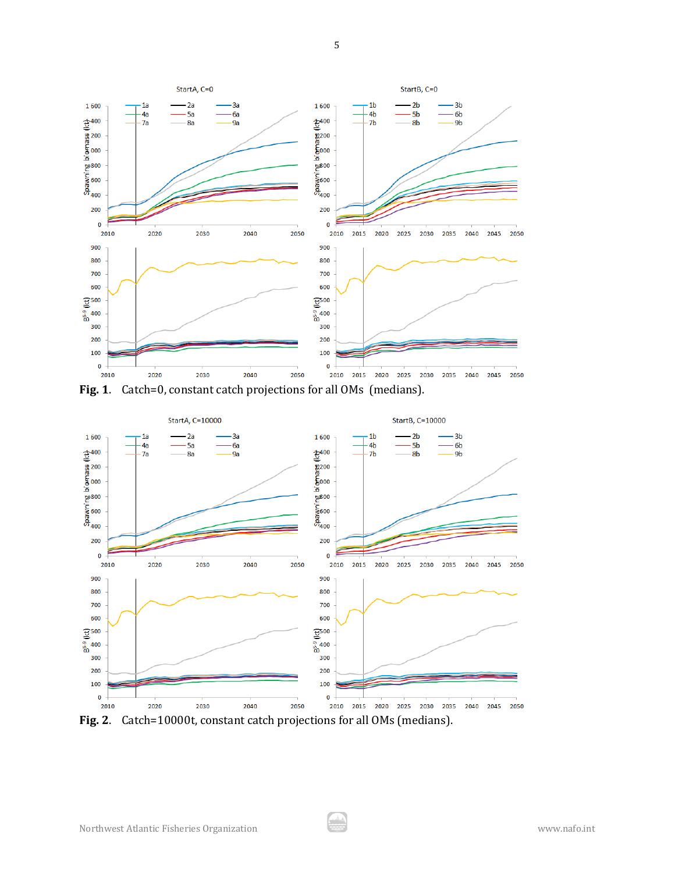

**Fig. 1**. Catch=0, constant catch projections for all OMs (medians).



**Fig. 2**. Catch=10000t, constant catch projections for all OMs (medians).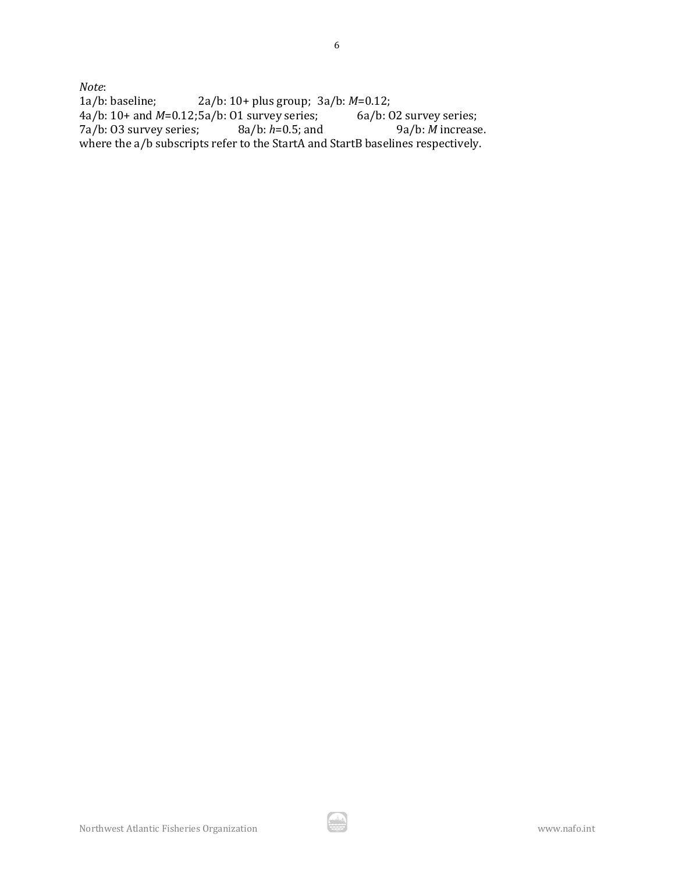*Note*:<br>1a/b: baseline; 2a/b: 10+ plus group; 3a/b: *M*=0.12;<br>:5a/b: 01 survey series; 6a/b: 02 survey series; 4a/b: 10+ and *M*=0.12;5a/b: O1 survey series; 6a/b: O2 survey series; 7a/b: O3 survey series; 8a/b: *h*=0.5; and 9a/b: *M* increase. where the a/b subscripts refer to the StartA and StartB baselines respectively.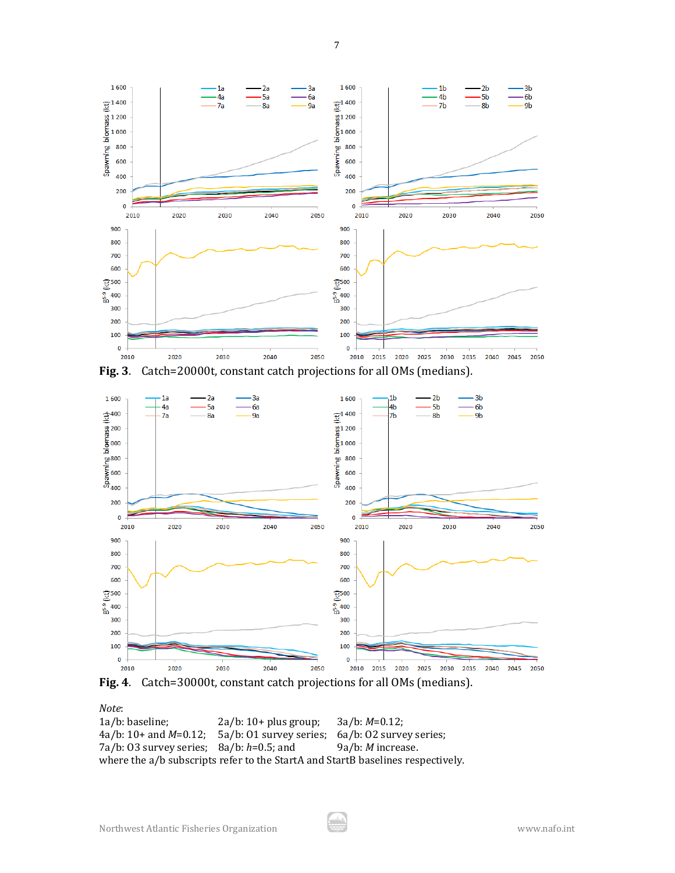

**Fig. 3**. Catch=20000t, constant catch projections for all OMs (medians).



**Fig. 4**. Catch=30000t, constant catch projections for all OMs (medians).

## *Note*:

| 1a/b: baseline;                                                                 | $2a/b: 10+ plus group;$                                                    | $3a/b: M=0.12;$          |  |  |  |
|---------------------------------------------------------------------------------|----------------------------------------------------------------------------|--------------------------|--|--|--|
|                                                                                 | $4a/b: 10+$ and $M=0.12$ ; 5a/b: 01 survey series; 6a/b: 02 survey series; |                          |  |  |  |
| $7a/b$ : 03 survey series; 8a/b: $h=0.5$ ; and                                  |                                                                            | 9a/b: <i>M</i> increase. |  |  |  |
| where the a/b subscripts refer to the StartA and StartB baselines respectively. |                                                                            |                          |  |  |  |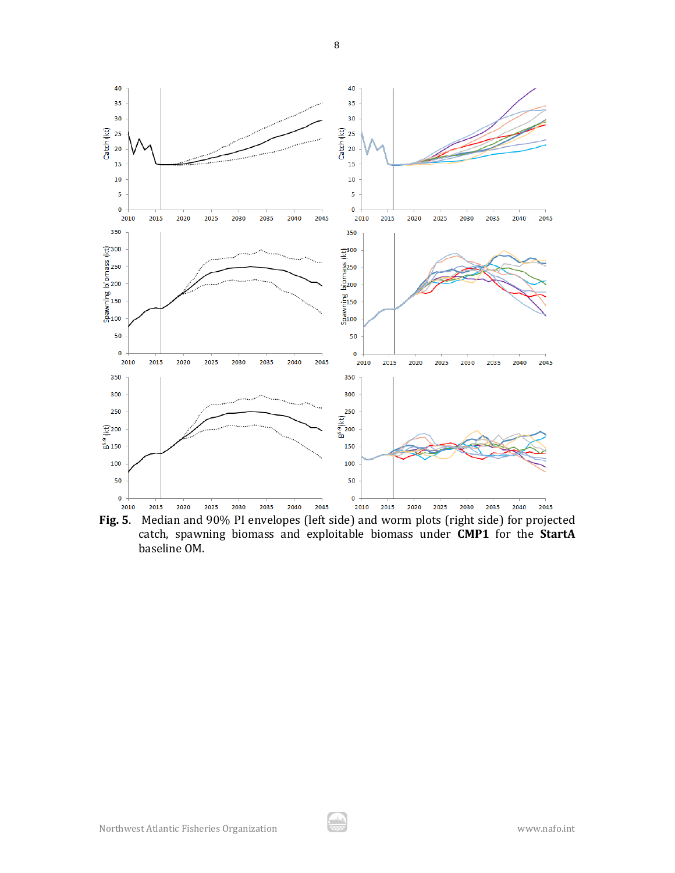

**Fig. 5**. Median and 90% PI envelopes (left side) and worm plots (right side) for projected catch, spawning biomass and exploitable biomass under **CMP1** for the **StartA** baseline OM.

A

8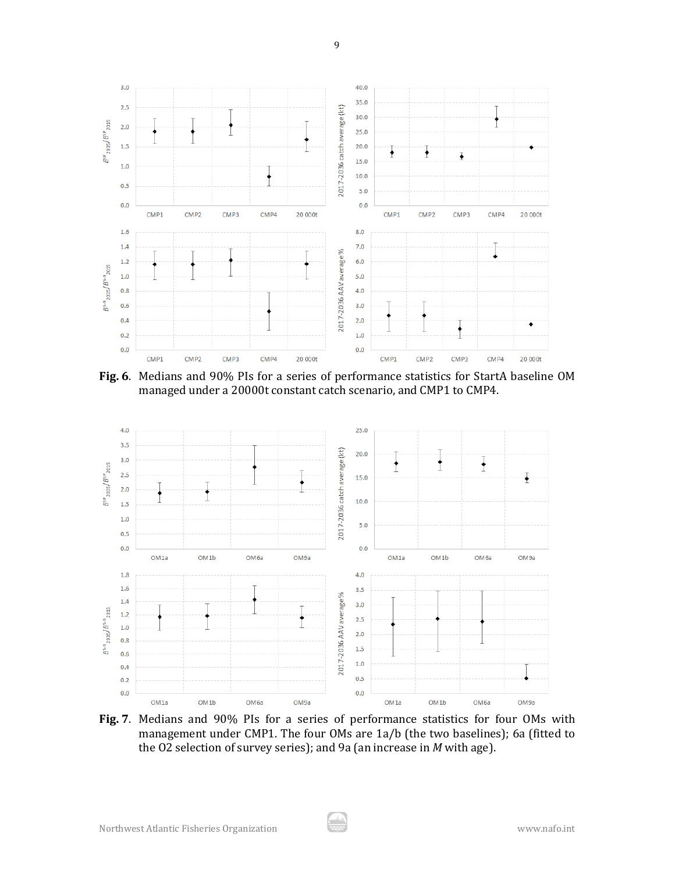

9

**Fig. 6**. Medians and 90% PIs for a series of performance statistics for StartA baseline OM managed under a 20000t constant catch scenario, and CMP1 to CMP4.



**Fig. 7**. Medians and 90% PIs for a series of performance statistics for four OMs with management under CMP1. The four OMs are 1a/b (the two baselines); 6a (fitted to the O2 selection of survey series); and 9a (an increase in *M* with age).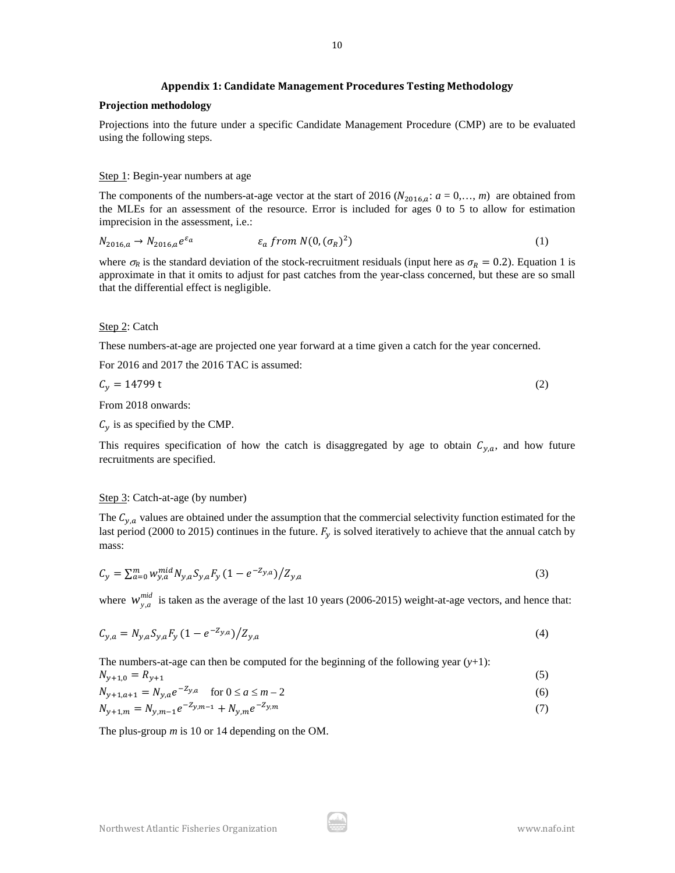#### **Appendix 1: Candidate Management Procedures Testing Methodology**

### **Projection methodology**

Projections into the future under a specific Candidate Management Procedure (CMP) are to be evaluated using the following steps.

#### Step 1: Begin-year numbers at age

The components of the numbers-at-age vector at the start of 2016 ( $N_{2016,a}$ :  $a = 0,..., m$ ) are obtained from the MLEs for an assessment of the resource. Error is included for ages 0 to 5 to allow for estimation imprecision in the assessment, i.e.:

$$
N_{2016,a} \to N_{2016,a} e^{\varepsilon_a} \qquad \qquad \varepsilon_a \text{ from } N(0, (\sigma_R)^2) \tag{1}
$$

where  $\sigma_R$  is the standard deviation of the stock-recruitment residuals (input here as  $\sigma_R = 0.2$ ). Equation 1 is approximate in that it omits to adjust for past catches from the year-class concerned, but these are so small that the differential effect is negligible.

#### Step 2: Catch

These numbers-at-age are projected one year forward at a time given a catch for the year concerned.

For 2016 and 2017 the 2016 TAC is assumed:

$$
C_y = 14799 \text{ t} \tag{2}
$$

From 2018 onwards:

 $C_{\gamma}$  is as specified by the CMP.

This requires specification of how the catch is disaggregated by age to obtain  $C_{y,a}$ , and how future recruitments are specified.

## Step 3: Catch-at-age (by number)

The  $C_{y,a}$  values are obtained under the assumption that the commercial selectivity function estimated for the last period (2000 to 2015) continues in the future.  $F_y$  is solved iteratively to achieve that the annual catch by mass:

$$
C_y = \sum_{a=0}^{m} w_{y,a}^{mid} N_{y,a} S_{y,a} F_y (1 - e^{-Z_{y,a}}) / Z_{y,a}
$$
\n(3)

where  $W_{y,a}^{mid}$  is taken as the average of the last 10 years (2006-2015) weight-at-age vectors, and hence that:

$$
C_{y,a} = N_{y,a} S_{y,a} F_y (1 - e^{-Z_{y,a}}) / Z_{y,a}
$$
\n(4)

The numbers-at-age can then be computed for the beginning of the following year  $(y+1)$ :

$$
N_{y+1,0} = R_{y+1} \tag{5}
$$

$$
N_{y+1,a+1} = N_{y,a}e^{-2y,a} \quad \text{for } 0 \le a \le m-2
$$
 (6)

$$
N_{y+1,m} = N_{y,m-1}e^{-2y,m-1} + N_{y,m}e^{-2y,m}
$$
\n(7)

The plus-group *m* is 10 or 14 depending on the OM.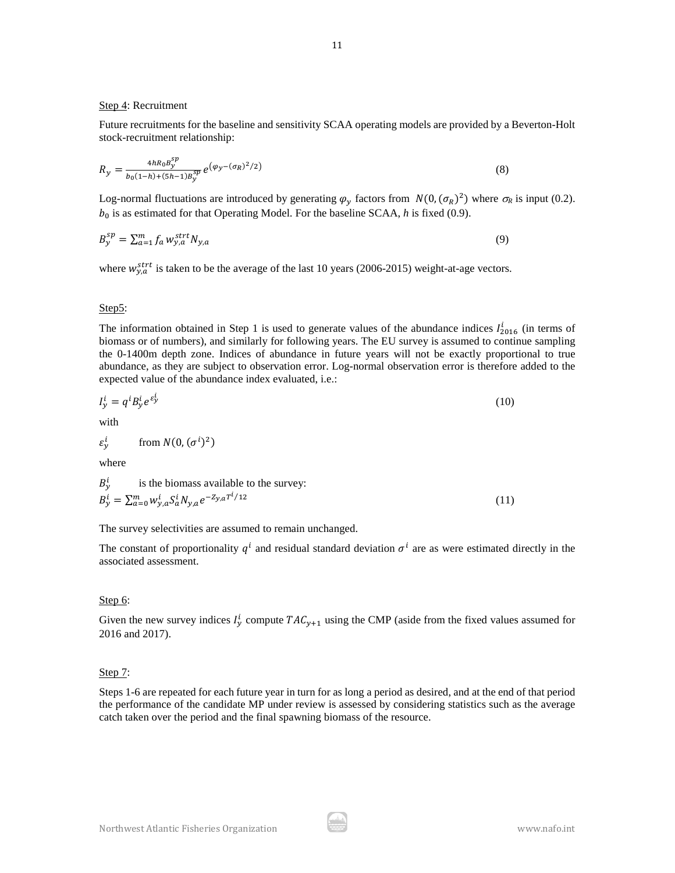## Step 4: Recruitment

Future recruitments for the baseline and sensitivity SCAA operating models are provided by a Beverton-Holt stock-recruitment relationship:

$$
R_{y} = \frac{4hR_{0}B_{y}^{sp}}{b_{0}(1-h)+(5h-1)B_{y}^{sp}}e^{(\varphi_{y}-(\sigma_{R})^{2}/2)}
$$
(8)

Log-normal fluctuations are introduced by generating  $\varphi_y$  factors from  $N(0, (\sigma_R)^2)$  where  $\sigma_R$  is input (0.2).  $b_0$  is as estimated for that Operating Model. For the baseline SCAA,  $h$  is fixed (0.9).

$$
B_{\mathcal{Y}}^{sp} = \sum_{a=1}^{m} f_a w_{\mathcal{Y},a}^{strt} N_{\mathcal{Y},a}
$$
\n<sup>(9)</sup>

where  $w_{y,a}^{strt}$  is taken to be the average of the last 10 years (2006-2015) weight-at-age vectors.

#### Step5:

The information obtained in Step 1 is used to generate values of the abundance indices  $I_{2016}^l$  (in terms of biomass or of numbers), and similarly for following years. The EU survey is assumed to continue sampling the 0-1400m depth zone. Indices of abundance in future years will not be exactly proportional to true abundance, as they are subject to observation error. Log-normal observation error is therefore added to the expected value of the abundance index evaluated, i.e.:

$$
I_y^i = q^i B_y^i e^{\varepsilon_y^i} \tag{10}
$$

with

$$
\varepsilon_y^i \qquad \text{from } N(0, (\sigma^i)^2)
$$

where

$$
B_y^i
$$
 is the biomass available to the survey:  
\n
$$
B_y^i = \sum_{a=0}^m w_{y,a}^i S_a^i N_{y,a} e^{-Z_{y,a} T^i / 12}
$$
\n(11)

The survey selectivities are assumed to remain unchanged.

The constant of proportionality  $q^{i}$  and residual standard deviation  $\sigma^{i}$  are as were estimated directly in the associated assessment.

## Step 6:

Given the new survey indices  $I_y^l$  compute  $TAC_{y+1}$  using the CMP (aside from the fixed values assumed for 2016 and 2017).

## Step 7:

Steps 1-6 are repeated for each future year in turn for as long a period as desired, and at the end of that period the performance of the candidate MP under review is assessed by considering statistics such as the average catch taken over the period and the final spawning biomass of the resource.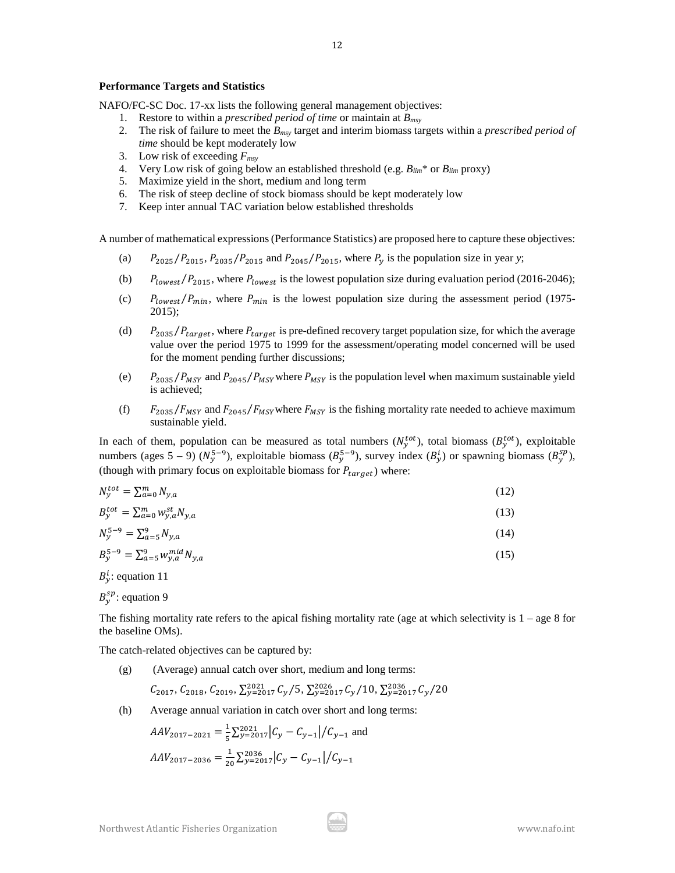#### **Performance Targets and Statistics**

NAFO/FC-SC Doc. 17-xx lists the following general management objectives:

- 1. Restore to within a *prescribed period of time* or maintain at *Bmsy*
- 2. The risk of failure to meet the *Bmsy* target and interim biomass targets within a *prescribed period of time* should be kept moderately low
- 3. Low risk of exceeding *Fmsy*
- 4. Very Low risk of going below an established threshold (e.g. *Blim*\* or *Blim* proxy)
- 5. Maximize yield in the short, medium and long term
- 6. The risk of steep decline of stock biomass should be kept moderately low
- 7. Keep inter annual TAC variation below established thresholds

A number of mathematical expressions (Performance Statistics) are proposed here to capture these objectives:

- (a)  $P_{2025}/P_{2015}$ ,  $P_{2035}/P_{2015}$  and  $P_{2045}/P_{2015}$ , where  $P_v$  is the population size in year *y*;
- (b)  $P_{lowest}/P_{2015}$ , where  $P_{lowest}$  is the lowest population size during evaluation period (2016-2046);
- (c)  $P_{lowest}/P_{min}$ , where  $P_{min}$  is the lowest population size during the assessment period (1975-2015);
- (d)  $P_{2035}/P_{target}$ , where  $P_{target}$  is pre-defined recovery target population size, for which the average value over the period 1975 to 1999 for the assessment/operating model concerned will be used for the moment pending further discussions;
- (e)  $P_{2035}/P_{MSY}$  and  $P_{2045}/P_{MSY}$  where  $P_{MSY}$  is the population level when maximum sustainable yield is achieved;
- (f)  $F_{2035}/F_{MSY}$  and  $F_{2045}/F_{MSY}$  where  $F_{MSY}$  is the fishing mortality rate needed to achieve maximum sustainable yield.

In each of them, population can be measured as total numbers  $(N_y^{tot})$ , total biomass  $(B_y^{tot})$ , exploitable numbers (ages 5 – 9) ( $N_y^{5-9}$ ), exploitable biomass ( $B_y^{5-9}$ ), survey index ( $B_y^i$ ) or spawning biomass ( $B_y^{sp}$ ), (though with primary focus on exploitable biomass for  $P_{target}$ ) where:

$$
N_{y}^{tot} = \sum_{a=0}^{m} N_{y,a} \tag{12}
$$

$$
B_{y}^{tot} = \sum_{a=0}^{m} w_{y,a}^{st} N_{y,a}
$$
 (13)

$$
N_{y}^{5-9} = \sum_{a=5}^{9} N_{y,a} \tag{14}
$$

$$
B_{y}^{5-9} = \sum_{a=5}^{9} w_{y,a}^{mid} N_{y,a}
$$
 (15)

 $B_y^i$ : equation 11

 $B_{y}^{sp}$ : equation 9

The fishing mortality rate refers to the apical fishing mortality rate (age at which selectivity is  $1 - \text{age } 8$  for the baseline OMs).

The catch-related objectives can be captured by:

(g) (Average) annual catch over short, medium and long terms:

$$
C_{2017}, C_{2018}, C_{2019}, \Sigma_{y=2017}^{2021} C_y / 5, \Sigma_{y=2017}^{2026} C_y / 10, \Sigma_{y=2017}^{2036} C_y / 20
$$

(h) Average annual variation in catch over short and long terms:

$$
AAV_{2017-2021} = \frac{1}{5} \sum_{y=2017}^{2021} |C_y - C_{y-1}| / C_{y-1}
$$
 and  

$$
AAV_{2017-2036} = \frac{1}{20} \sum_{y=2017}^{2036} |C_y - C_{y-1}| / C_{y-1}
$$